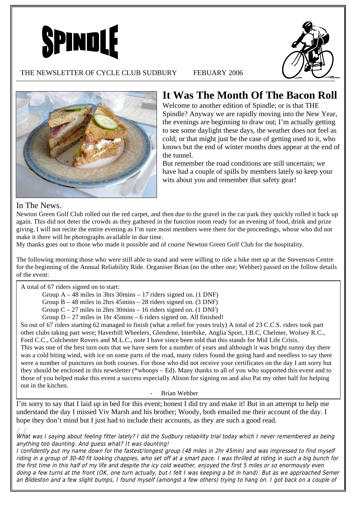



## THE NEWSLETTER OF CYCLE CLUB SUDBURY FEBUARY 2006



# **It Was The Month Of The Bacon Roll**

Welcome to another edition of Spindle; or is that THE Spindle? Anyway we are rapidly moving into the New Year, the evenings are beginning to draw out; I'm actually getting to see some daylight these days, the weather does not feel as cold; or that might just be the case of getting used to it, who knows but the end of winter months does appear at the end of the tunnel.

But remember the road conditions are still uncertain; we have had a couple of spills by members lately so keep your wits about you and remember that safety gear!

## In The News.

Newton Green Golf Club rolled out the red carpet, and then due to the gravel in the car park they quickly rolled it back up again. This did not deter the crowds as they gathered in the function room ready for an evening of food, drink and prize giving. I will not recite the entire evening as I'm sure most members were there for the proceedings, whose who did not make it there will be photographs available in due time.

My thanks goes out to those who made it possible and of course Newton Green Golf Club for the hospitality.

The following morning those who were still able to stand and were willing to ride a bike met up at the Stevenson Centre for the beginning of the Annual Reliability Ride. Organiser Brian (no the other one; Webber) passed on the follow details of the event:

A total of 67 riders signed on to start:

Group A – 48 miles in 3hrs 30mins – 17 riders signed on. (1 DNF)

Group B – 48 miles in 2hrs 45mins – 28 riders signed on. (3 DNF)

Group C – 27 miles in 2hrs 30mins – 16 riders signed on. (1 DNF)

Group  $D - 27$  miles in 1hr 45mins – 6 riders signed on. All finished!

So out of 67 riders starting 62 managed to finish (what a relief for yours truly) A total of 23 C.C.S. riders took part other clubs taking part were; Haverhill Wheelers, Glendene, Interbike, Anglia Sport, I.B.C, Chelmer, Wolsey R.C., Ford C.C., Colchester Rovers and M.L.C., note I have since been told that this stands for Mid Life Crisis. This was one of the best turn outs that we have seen for a number of years and although it was bright sunny day there was a cold biting wind, with ice on some parts of the road, many riders found the going hard and needless to say there were a number of punctures on both courses. For those who did not receive your certificates on the day I am sorry but they should be enclosed in this newsletter (\*whoops – Ed). Many thanks to all of you who supported this event and to those of you helped make this event a success especially Alison for signing on and also Pat my other half for helping out in the kitchen.

- Brian Webber

I'm sorry to say that I laid up in bed for this event; honest I did try and make it! But in an attempt to help me understand the day I missed Viv Marsh and his brother; Woody, both emailed me their account of the day. I hope they don't mind but I just had to include their accounts, as they are such a good read.

What was I saying about feeling fitter lately? I did the Sudbury reliability trial today which I never remembered as being anything too daunting. And guess what? It was daunting!

I confidently put my name down for the fastest/longest group (48 miles in 2hr 45min) and was impressed to find myself riding in a group of 30-40 fit looking chappies, who set off at a smart pace. I was thrilled at riding in such a big bunch for the first time in this half of my life and despite the icy cold weather, enjoyed the first 5 miles or so enormously even doing a few turns at the front (OK, one turn actually, but I felt I was keeping a bit in hand). But as we approached Semer an Bildeston and a few slight bumps, I found myself (amongst a few others) trying to hang on. I got back on a couple of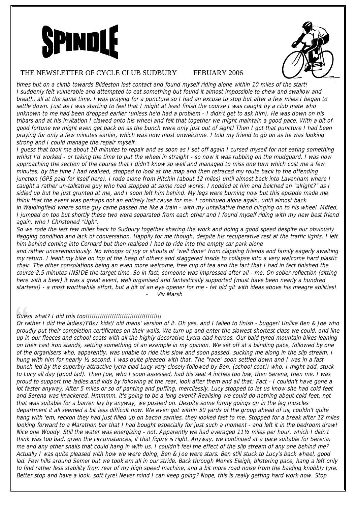



#### THE NEWSLETTER OF CYCLE CLUB SUDBURY FEBUARY 2006

times but on a climb towards Bildeston lost contact and found myself riding alone within 10 miles of the start! I suddenly felt vulnerable and attempted to eat something but found it almost impossible to chew and swallow and breath, all at the same time. I was praying for a puncture so I had an excuse to stop but after a few miles I began to settle down. Just as I was starting to feel that I might at least finish the course I was caught by a club mate who unknown to me had been dropped earlier (unless he'd had a problem - I didn't get to ask him). He was down on his tribars and at his invitation I clawed onto his wheel and felt that together we might maintain a good pace. With a bit of good fortune we might even get back on as the bunch were only just out of sight! Then I got that puncture I had been praying for only a few minutes earlier, which was now most unwelcome. I told my friend to go on as he was looking strong and I could manage the repair myself.

I guess that took me about 10 minutes to repair and as soon as I set off again I cursed myself for not eating something whilst I'd worked - or taking the time to put the wheel in straight - so now it was rubbing on the mudguard. I was now approaching the section of the course that I didn't know so well and managed to miss one turn which cost me a few minutes, by the time I had realised, stopped to look at the map and then retraced my route back to the offending junction (GPS paid for itself here). I rode alone from Hitchin (about 12 miles) until almost back into Lavenham where I caught a rather un-talkative guy who had stopped at some road works. I nodded at him and belched an "alright?" as I sidled up but he just grunted at me, and I soon left him behind. My legs were burning now but this episode made me think that the event was perhaps not an entirely lost cause for me. I continued alone again, until almost back in Waldingfield where some guy came passed me like a train - with my untalkative friend clinging on to his wheel. Miffed, I jumped on too but shortly these two were separated from each other and I found myself riding with my new best friend again, who I Christened "Ugh".

So we rode the last few miles back to Sudbury together sharing the work and doing a good speed despite our obviously flagging condition and lack of conversation. Happily for me though, despite his recuperative rest at the traffic lights, I left him behind coming into Cornard but then realised I had to ride into the empty car park alone

and rather unceremoniously. No whoops of joy or shouts of "well done" from clapping friends and family eagerly awaiting my return. I leant my bike on top of the heap of others and staggered inside to collapse into a very welcome hard plastic chair. The other consolations being an even more welcome, free cup of tea and the fact that I had in fact finished the course 2.5 minutes INSIDE the target time. So in fact, someone was impressed after all - me. On sober reflection (sitting here with a beer) it was a great event, well organised and fantastically supported (must have been nearly a hundred starters!) - a most worthwhile effort, but a bit of an eye opener for me - fat old git with ideas above his meagre abilities! Viv Marsh

### Guess what? I did this too!!!!!!!!!!!!!!!!!!!!!!!!!!!!!!!!!!!!!!

Or rather I did the ladies'/FBs'/ kids'/ old mans' version of it. Oh yes, and I failed to finish - bugger! Unlike Ben & Joe who proudly put their completion certificates on their walls. We turn up and enter the slowest shortest class we could, and line up in our fleeces and school coats with all the highly decorative Lycra clad heroes. Our bald tyred mountain bikes leaning on their cast iron stands, setting something of an example in my opinion. We set off at a blinding pace, followed by one of the organisers who, apparently, was unable to ride this slow and soon passed, sucking me along in the slip stream. I hung with him for nearly 1/2 second, I was quite pleased with that. The "race" soon settled down and I was in a fast bunch led by the superbly attractive lycra clad Lucy very closely followed by Ben, (school coat!) who, I might add, stuck to Lucy all day (good lad). Then Joe, who I soon assessed, had his seat 4 inches too low, then Serena, then me. I was proud to support the ladies and kids by following at the rear, look after them and all that: Fact - I couldn't have gone a lot faster anyway. After 5 miles or so of panting and puffing, mercilessly, Lucy stopped to let us know she had cold feet and Serena was knackered. Hmmmm, it's going to be a long event? Realising we could do nothing about cold feet, not that was suitable for a barren lay by anyway, we pushed on. Despite some funny goings on in the leg muscles department it all seemed a bit less difficult now. We even got within 50 yards of the group ahead of us, couldn't quite hang with 'em, reckon they had just filled up on bacon sarnies, they looked fast to me. Stopped for a break after 12 miles looking forward to a Marathon bar that I had bought especially for just such a moment - and left it in the bedroom draw! Nice one Woody. Still the water was energizing - not. Apparently we had averaged 111/2 miles per hour, which I didn't think was too bad, given the circumstances, if that figure is right. Anyway, we continued at a pace suitable for Serena, me and any other snails that could hang in with us. I couldn't feel the effect of the slip stream of any one behind me? Actually I was quite pleased with how we were doing, Ben & Joe were stars. Ben still stuck to Lucy's back wheel, good lad. Few hills around Semer but we took em all in our stride. Back through Monks Eleigh, blistering pace, hang a left only to find rather less stability from rear of my high speed machine, and a bit more road noise from the balding knobbly tyre. Better stop and have a look, soft tyre! Never mind I can keep going? Nope, this is really getting hard work now. Stop